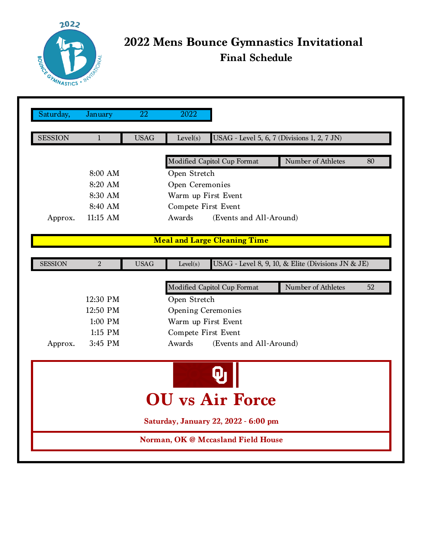

## **2022 Mens Bounce Gymnastics Invitational Final Schedule**

| Saturday,                      | January                                                 | $\overline{22}$ | 2022                                                    |                                             |                                                    |  |  |  |  |
|--------------------------------|---------------------------------------------------------|-----------------|---------------------------------------------------------|---------------------------------------------|----------------------------------------------------|--|--|--|--|
|                                |                                                         |                 |                                                         |                                             |                                                    |  |  |  |  |
| <b>SESSION</b>                 | $\mathbf{1}$                                            | <b>USAG</b>     | Level(s)                                                | USAG - Level 5, 6, 7 (Divisions 1, 2, 7 JN) |                                                    |  |  |  |  |
|                                |                                                         |                 |                                                         |                                             |                                                    |  |  |  |  |
|                                |                                                         |                 | Modified Capitol Cup Format<br>Number of Athletes<br>80 |                                             |                                                    |  |  |  |  |
|                                | 8:00 AM                                                 |                 | Open Stretch                                            |                                             |                                                    |  |  |  |  |
|                                | 8:20 AM                                                 |                 | Open Ceremonies                                         |                                             |                                                    |  |  |  |  |
|                                | 8:30 AM                                                 |                 | Warm up First Event                                     |                                             |                                                    |  |  |  |  |
|                                | 8:40 AM                                                 |                 | Compete First Event                                     |                                             |                                                    |  |  |  |  |
| Approx.                        | 11:15 AM                                                |                 | Awards<br>(Events and All-Around)                       |                                             |                                                    |  |  |  |  |
|                                |                                                         |                 |                                                         |                                             |                                                    |  |  |  |  |
|                                |                                                         |                 |                                                         | <b>Meal and Large Cleaning Time</b>         |                                                    |  |  |  |  |
|                                |                                                         | <b>USAG</b>     |                                                         |                                             | USAG - Level 8, 9, 10, & Elite (Divisions JN & JE) |  |  |  |  |
| <b>SESSION</b>                 | $\overline{2}$                                          |                 | Level(s)                                                |                                             |                                                    |  |  |  |  |
|                                | Number of Athletes<br>Modified Capitol Cup Format<br>52 |                 |                                                         |                                             |                                                    |  |  |  |  |
|                                | 12:30 PM                                                |                 | Open Stretch                                            |                                             |                                                    |  |  |  |  |
|                                | 12:50 PM                                                |                 | <b>Opening Ceremonies</b>                               |                                             |                                                    |  |  |  |  |
| 1:00 PM<br>Warm up First Event |                                                         |                 |                                                         |                                             |                                                    |  |  |  |  |
|                                | 1:15 PM                                                 |                 | Compete First Event                                     |                                             |                                                    |  |  |  |  |
| Approx.                        | 3:45 PM                                                 |                 | Awards<br>(Events and All-Around)                       |                                             |                                                    |  |  |  |  |
|                                |                                                         |                 |                                                         |                                             |                                                    |  |  |  |  |
|                                |                                                         |                 |                                                         |                                             |                                                    |  |  |  |  |
|                                |                                                         |                 |                                                         |                                             |                                                    |  |  |  |  |
|                                |                                                         |                 |                                                         |                                             |                                                    |  |  |  |  |
|                                |                                                         |                 |                                                         | U vs Air Force                              |                                                    |  |  |  |  |
|                                |                                                         |                 |                                                         | Saturday, January 22, 2022 - 6:00 pm        |                                                    |  |  |  |  |
|                                |                                                         |                 |                                                         | Norman, OK @ Mccasland Field House          |                                                    |  |  |  |  |
|                                |                                                         |                 |                                                         |                                             |                                                    |  |  |  |  |